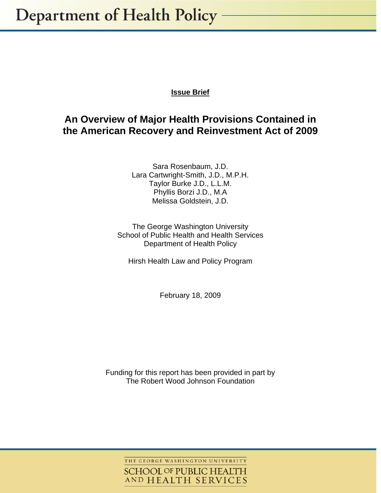# **Issue Brief**

# **An Overview of Major Health Provisions Contained in the American Recovery and Reinvestment Act of 2009**

Sara Rosenbaum, J.D. Lara Cartwright-Smith, J.D., M.P.H. Taylor Burke J.D., L.L.M. Phyllis Borzi J.D., M.A Melissa Goldstein, J.D.

The George Washington University School of Public Health and Health Services Department of Health Policy

Hirsh Health Law and Policy Program

February 18, 2009

Funding for this report has been provided in part by The Robert Wood Johnson Foundation

THE GEORGE WASHINGTON UNIVERSITY

**SCHOOL OF PUBLIC HEALTH** AND HEALTH SERVICES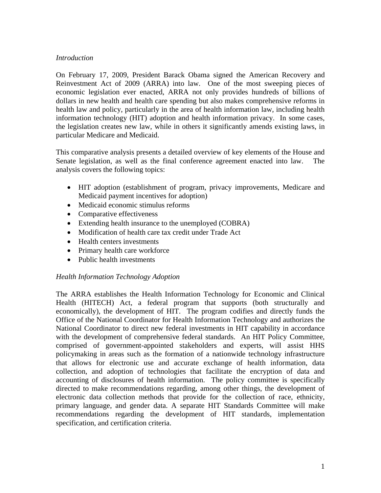## *Introduction*

On February 17, 2009, President Barack Obama signed the American Recovery and Reinvestment Act of 2009 (ARRA) into law. One of the most sweeping pieces of economic legislation ever enacted, ARRA not only provides hundreds of billions of dollars in new health and health care spending but also makes comprehensive reforms in health law and policy, particularly in the area of health information law, including health information technology (HIT) adoption and health information privacy. In some cases, the legislation creates new law, while in others it significantly amends existing laws, in particular Medicare and Medicaid.

This comparative analysis presents a detailed overview of key elements of the House and Senate legislation, as well as the final conference agreement enacted into law. The analysis covers the following topics:

- HIT adoption (establishment of program, privacy improvements, Medicare and Medicaid payment incentives for adoption)
- Medicaid economic stimulus reforms
- Comparative effectiveness
- Extending health insurance to the unemployed (COBRA)
- Modification of health care tax credit under Trade Act
- Health centers investments
- Primary health care workforce
- Public health investments

# *Health Information Technology Adoption*

The ARRA establishes the Health Information Technology for Economic and Clinical Health (HITECH) Act, a federal program that supports (both structurally and economically), the development of HIT. The program codifies and directly funds the Office of the National Coordinator for Health Information Technology and authorizes the National Coordinator to direct new federal investments in HIT capability in accordance with the development of comprehensive federal standards. An HIT Policy Committee, comprised of government-appointed stakeholders and experts, will assist HHS policymaking in areas such as the formation of a nationwide technology infrastructure that allows for electronic use and accurate exchange of health information, data collection, and adoption of technologies that facilitate the encryption of data and accounting of disclosures of health information. The policy committee is specifically directed to make recommendations regarding, among other things, the development of electronic data collection methods that provide for the collection of race, ethnicity, primary language, and gender data. A separate HIT Standards Committee will make recommendations regarding the development of HIT standards, implementation specification, and certification criteria.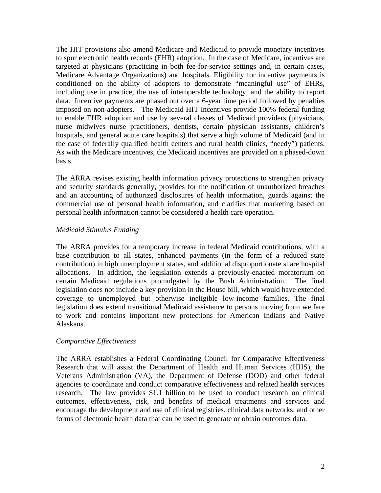The HIT provisions also amend Medicare and Medicaid to provide monetary incentives to spur electronic health records (EHR) adoption. In the case of Medicare, incentives are targeted at physicians (practicing in both fee-for-service settings and, in certain cases, Medicare Advantage Organizations) and hospitals. Eligibility for incentive payments is conditioned on the ability of adopters to demonstrate "meaningful use" of EHRs, including use in practice, the use of interoperable technology, and the ability to report data. Incentive payments are phased out over a 6-year time period followed by penalties imposed on non-adopters. The Medicaid HIT incentives provide 100% federal funding to enable EHR adoption and use by several classes of Medicaid providers (physicians, nurse midwives nurse practitioners, dentists, certain physician assistants, children's hospitals, and general acute care hospitals) that serve a high volume of Medicaid (and in the case of federally qualified health centers and rural health clinics, "needy") patients. As with the Medicare incentives, the Medicaid incentives are provided on a phased-down basis.

The ARRA revises existing health information privacy protections to strengthen privacy and security standards generally, provides for the notification of unauthorized breaches and an accounting of authorized disclosures of health information, guards against the commercial use of personal health information, and clarifies that marketing based on personal health information cannot be considered a health care operation.

## *Medicaid Stimulus Funding*

The ARRA provides for a temporary increase in federal Medicaid contributions, with a base contribution to all states, enhanced payments (in the form of a reduced state contribution) in high unemployment states, and additional disproportionate share hospital allocations. In addition, the legislation extends a previously-enacted moratorium on certain Medicaid regulations promulgated by the Bush Administration. The final legislation does not include a key provision in the House bill, which would have extended coverage to unemployed but otherwise ineligible low-income families. The final legislation does extend transitional Medicaid assistance to persons moving from welfare to work and contains important new protections for American Indians and Native Alaskans.

#### *Comparative Effectiveness*

The ARRA establishes a Federal Coordinating Council for Comparative Effectiveness Research that will assist the Department of Health and Human Services (HHS), the Veterans Administration (VA), the Department of Defense (DOD) and other federal agencies to coordinate and conduct comparative effectiveness and related health services research. The law provides \$1.1 billion to be used to conduct research on clinical outcomes, effectiveness, risk, and benefits of medical treatments and services and encourage the development and use of clinical registries, clinical data networks, and other forms of electronic health data that can be used to generate or obtain outcomes data.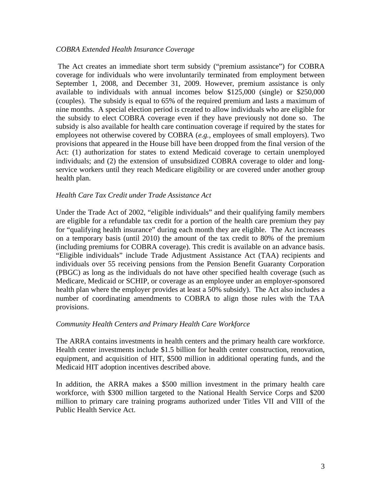#### *COBRA Extended Health Insurance Coverage*

 The Act creates an immediate short term subsidy ("premium assistance") for COBRA coverage for individuals who were involuntarily terminated from employment between September 1, 2008, and December 31, 2009. However, premium assistance is only available to individuals with annual incomes below \$125,000 (single) or \$250,000 (couples). The subsidy is equal to 65% of the required premium and lasts a maximum of nine months. A special election period is created to allow individuals who are eligible for the subsidy to elect COBRA coverage even if they have previously not done so. The subsidy is also available for health care continuation coverage if required by the states for employees not otherwise covered by COBRA (*e.g.,* employees of small employers). Two provisions that appeared in the House bill have been dropped from the final version of the Act: (1) authorization for states to extend Medicaid coverage to certain unemployed individuals; and (2) the extension of unsubsidized COBRA coverage to older and longservice workers until they reach Medicare eligibility or are covered under another group health plan.

#### *Health Care Tax Credit under Trade Assistance Act*

Under the Trade Act of 2002, "eligible individuals" and their qualifying family members are eligible for a refundable tax credit for a portion of the health care premium they pay for "qualifying health insurance" during each month they are eligible. The Act increases on a temporary basis (until 2010) the amount of the tax credit to 80% of the premium (including premiums for COBRA coverage). This credit is available on an advance basis. "Eligible individuals" include Trade Adjustment Assistance Act (TAA) recipients and individuals over 55 receiving pensions from the Pension Benefit Guaranty Corporation (PBGC) as long as the individuals do not have other specified health coverage (such as Medicare, Medicaid or SCHIP, or coverage as an employee under an employer-sponsored health plan where the employer provides at least a 50% subsidy). The Act also includes a number of coordinating amendments to COBRA to align those rules with the TAA provisions.

#### *Community Health Centers and Primary Health Care Workforce*

The ARRA contains investments in health centers and the primary health care workforce. Health center investments include \$1.5 billion for health center construction, renovation, equipment, and acquisition of HIT, \$500 million in additional operating funds, and the Medicaid HIT adoption incentives described above.

In addition, the ARRA makes a \$500 million investment in the primary health care workforce, with \$300 million targeted to the National Health Service Corps and \$200 million to primary care training programs authorized under Titles VII and VIII of the Public Health Service Act.